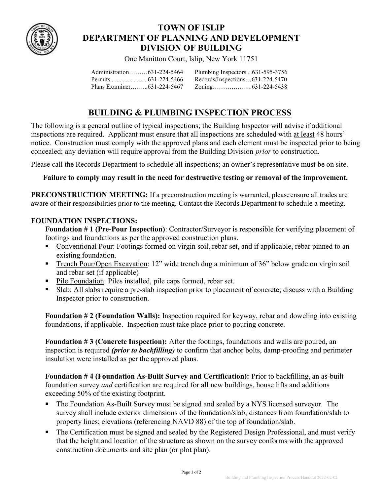

## TOWN OF ISLIP DEPARTMENT OF PLANNING AND DEVELOPMENT DIVISION OF BUILDING

One Manitton Court, Islip, New York 11751

| Administration631-224-5464 | Plumbing Inspectors631-595-3756 |  |
|----------------------------|---------------------------------|--|
|                            | Records/Inspections631-224-5470 |  |
|                            |                                 |  |

# BUILDING & PLUMBING INSPECTION PROCESS

The following is a general outline of typical inspections; the Building Inspector will advise if additional inspections are required. Applicant must ensure that all inspections are scheduled with at least 48 hours' notice. Construction must comply with the approved plans and each element must be inspected prior to being concealed; any deviation will require approval from the Building Division prior to construction.

Please call the Records Department to schedule all inspections; an owner's representative must be on site.

### Failure to comply may result in the need for destructive testing or removal of the improvement.

PRECONSTRUCTION MEETING: If a preconstruction meeting is warranted, please ensure all trades are aware of their responsibilities prior to the meeting. Contact the Records Department to schedule a meeting.

#### FOUNDATION INSPECTIONS:

Foundation # 1 (Pre-Pour Inspection): Contractor/Surveyor is responsible for verifying placement of footings and foundations as per the approved construction plans.

- Conventional Pour: Footings formed on virgin soil, rebar set, and if applicable, rebar pinned to an existing foundation.
- Trench Pour/Open Excavation: 12" wide trench dug a minimum of 36" below grade on virgin soil and rebar set (if applicable)
- Pile Foundation: Piles installed, pile caps formed, rebar set.
- Slab: All slabs require a pre-slab inspection prior to placement of concrete; discuss with a Building Inspector prior to construction.

Foundation # 2 (Foundation Walls): Inspection required for keyway, rebar and doweling into existing foundations, if applicable. Inspection must take place prior to pouring concrete.

Foundation # 3 (Concrete Inspection): After the footings, foundations and walls are poured, an inspection is required (prior to backfilling) to confirm that anchor bolts, damp-proofing and perimeter insulation were installed as per the approved plans.

Foundation # 4 (Foundation As-Built Survey and Certification): Prior to backfilling, an as-built foundation survey and certification are required for all new buildings, house lifts and additions exceeding 50% of the existing footprint.

- The Foundation As-Built Survey must be signed and sealed by a NYS licensed surveyor. The survey shall include exterior dimensions of the foundation/slab; distances from foundation/slab to property lines; elevations (referencing NAVD 88) of the top of foundation/slab.
- The Certification must be signed and sealed by the Registered Design Professional, and must verify that the height and location of the structure as shown on the survey conforms with the approved construction documents and site plan (or plot plan).